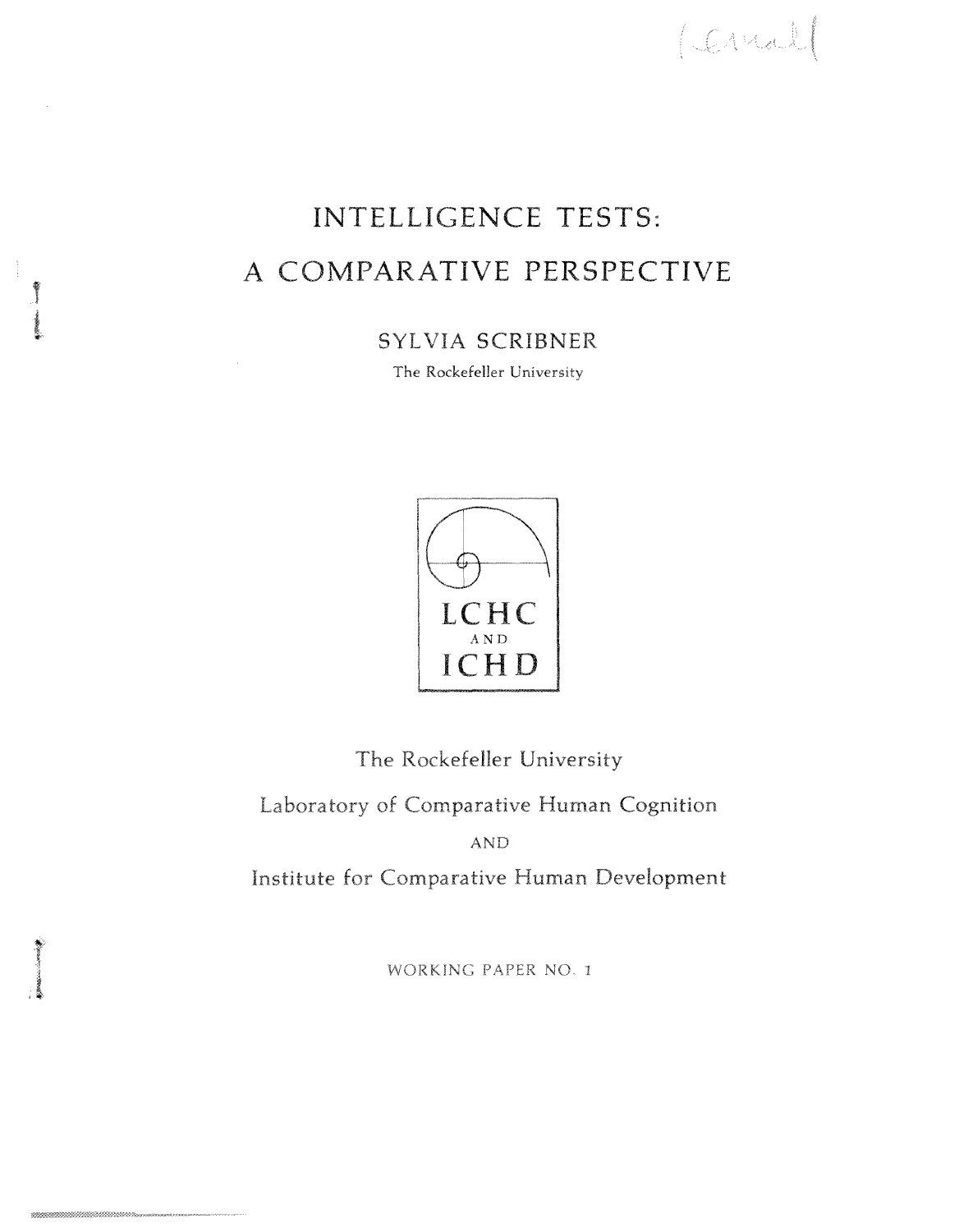## INTELLIGENCE TESTS: A COMPARATIVE PERSPECTIVE

SYLVIA SCRIBNER

The Rockefeller **University** 



**The Rockefeller University Laboratory of Comparative Human Cognition**  AND **Institute for Comparative Human Development** 

WORKING PAPER NO. 1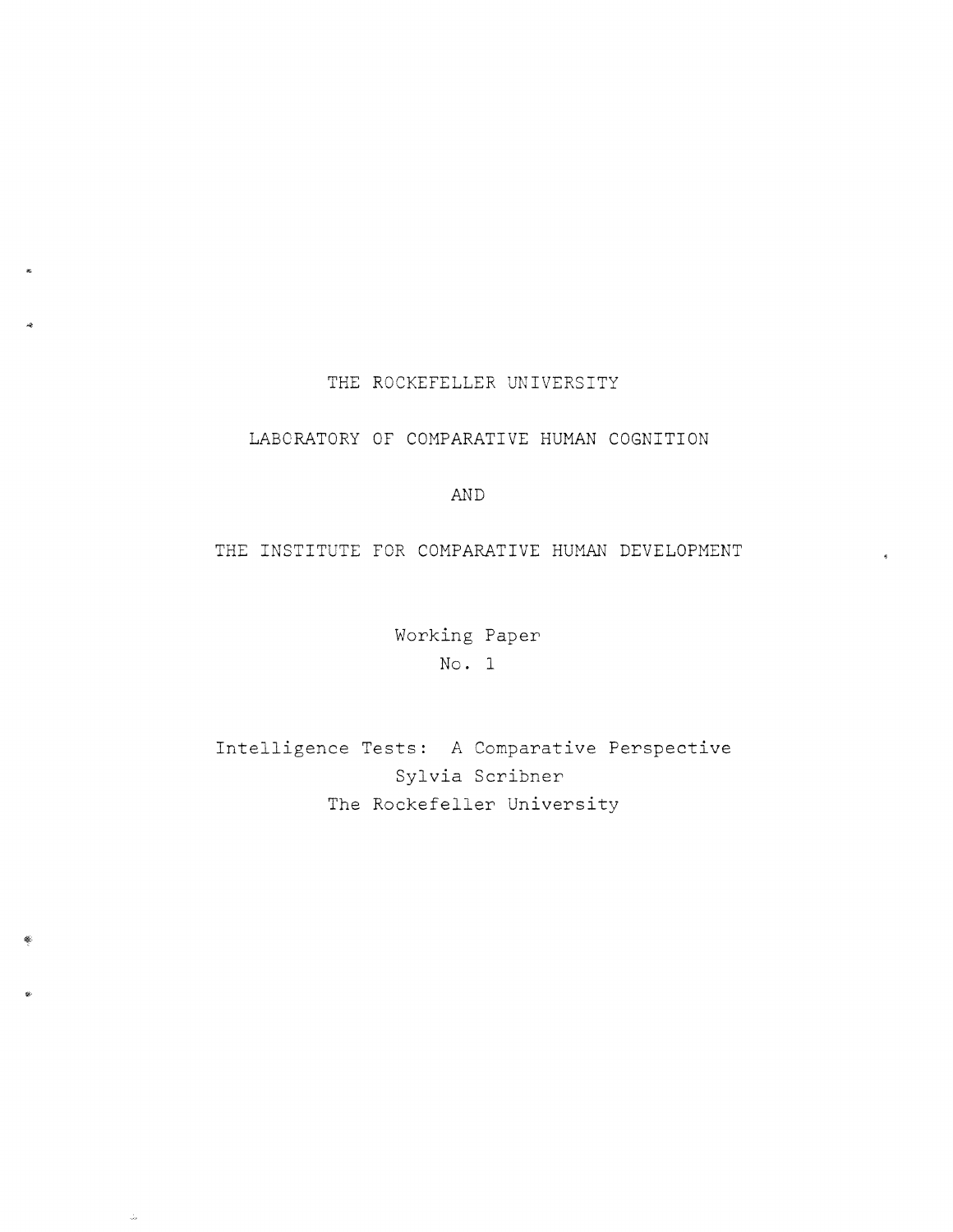## THE ROCKEFELLER UNIVERSITY

## LABORATORY OF COMPARATIVE HUMAN COGNITION

AND

THE INSTITUTE FOR COMPARATIVE HUMAN DEVELOPMENT

Working Paper No. 1

Intelligence Tests: A Comparative Perspective Sylvia Scribner The Rockefeller University

 $\frac{1}{\sqrt{2}}$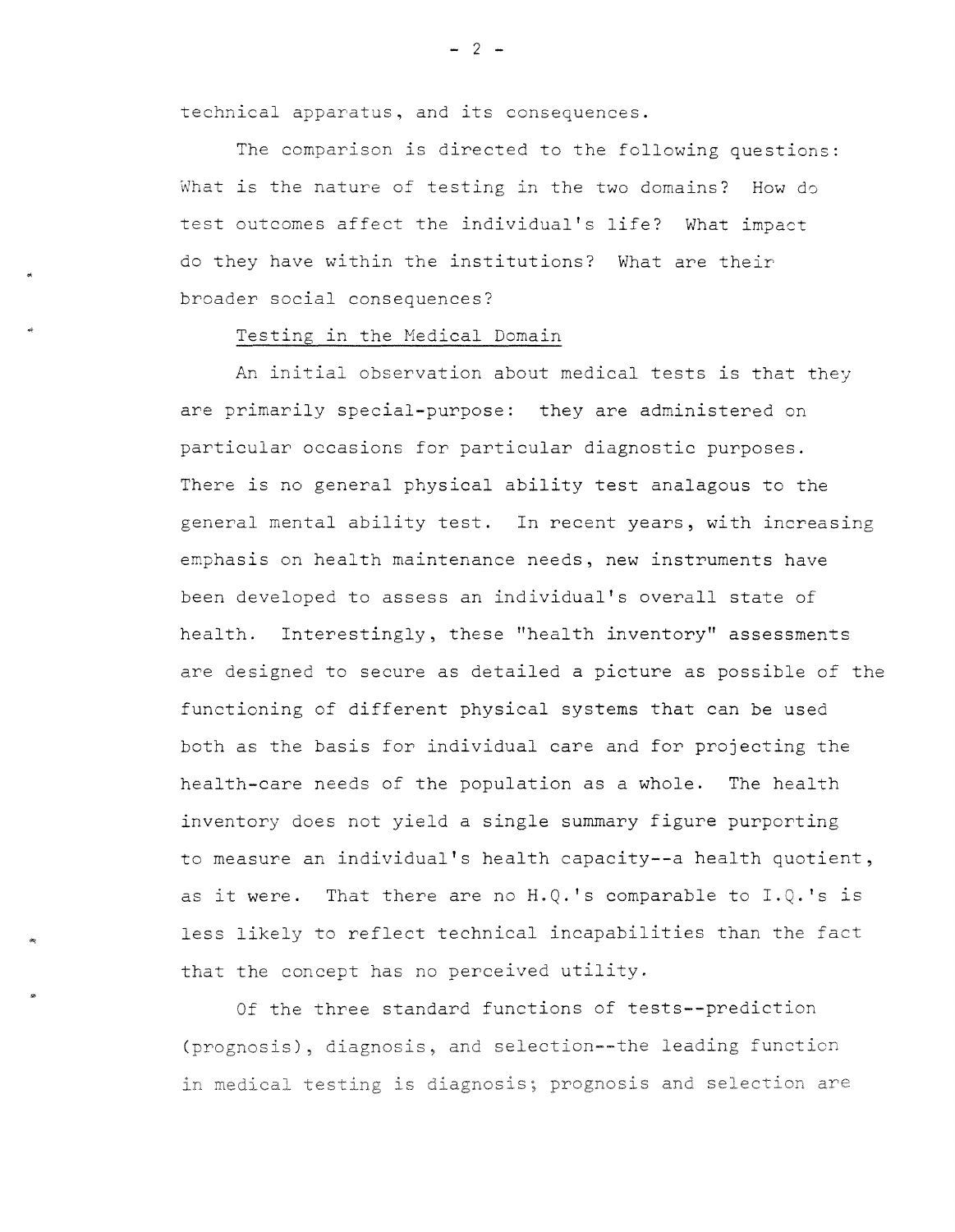technical apparatus, and its consequences.

The comparison is directed to the following questions: What is the nature of testing in the two domains? How do test outcomes affect the individual's life? What impact do they have within the institutions? What are their broader social consequences?

## Testing in the Medical Domain

..

An initial observation about medical tests is that they are primarily special-purpose: they are administered on particular occasions for particular diagnostic purposes. There is no general physical ability test analagous to the general mental ability test. In recent years, with increasing emphasis on health maintenance needs, new instruments have been developed to assess an individual's overall state of health. Interestingly, these "health inventory" assessments are designed to secure as detailed a picture as possible of the functioning of different physical systems that can be used both as the basis for individual care and for projecting the health-care needs of the population as a whole. The health inventory does not yield a single summary figure purporting to measure an individual's health capacity--a health quotient, as it were. That there are no  $H. Q. 's$  comparable to  $I. Q. 's$  is less likely to reflect technical incapabilities than the fact that the concept has no perceived utility.

Of the three standard functions of tests--prediction (prognosis), diagnosis, and selection--the leading function in medical testing is diagnosis; prognosis and selection are

 $-2 -$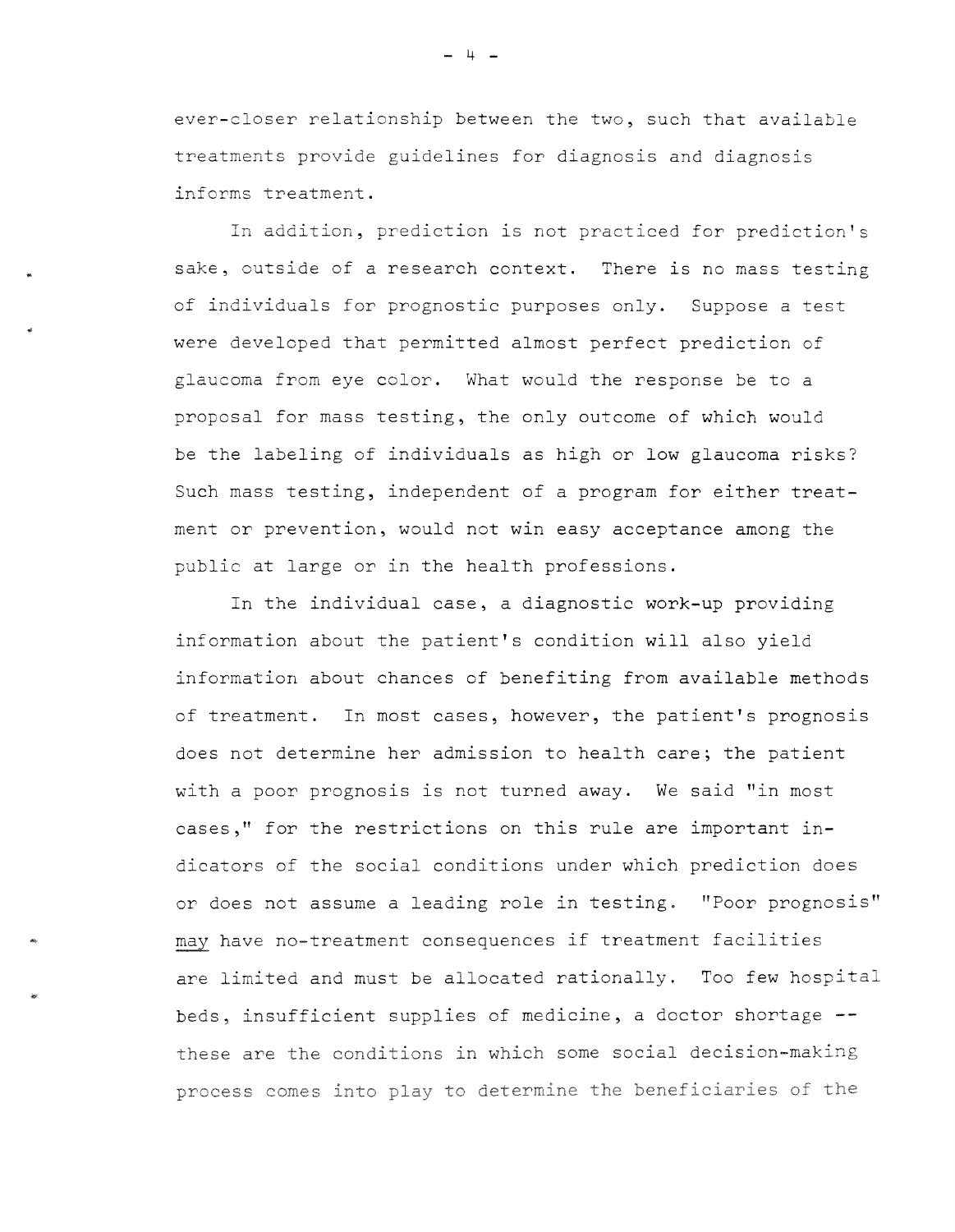ever-closer relationship between the two, such that available treatments provide guidelines for diagnosis and diagnosis informs treatment.

In addition, prediction is not practiced for prediction's sake, outside of a research context. There is no mass testing of individuals for prognostic purposes only. Suppose a test were developed that permitted almost perfect prediction of glaucoma from eye color. What would the response be to a proposal for mass testing, the only outcome of which would be the labeling of individuals as high or low glaucoma risks? Such mass testing, independent of a program for either treatment or prevention, would not win easy acceptance among the public at large or in the health professions.

In the individual case, a diagnostic work-up providing information about the patient's condition will also yield information about chances of benefiting from available methods of treatment. In most cases, however, the patient's prognosis does not determine her admission to health care; the patient with a poor prognosis is not turned away. We said "in most cases," for the restrictions on this rule are important indicators of the social conditions under which prediction does or does not assume a leading role in testing. "Poor prognosis" may have no-treatment consequences if treatment facilities are limited and must be allocated rationally. Too few hospital beds, insufficient supplies of medicine, a doctor shortage - these are the conditions in **which** some social decision-making process comes into play to determine the beneficiaries of the

..

- 4 -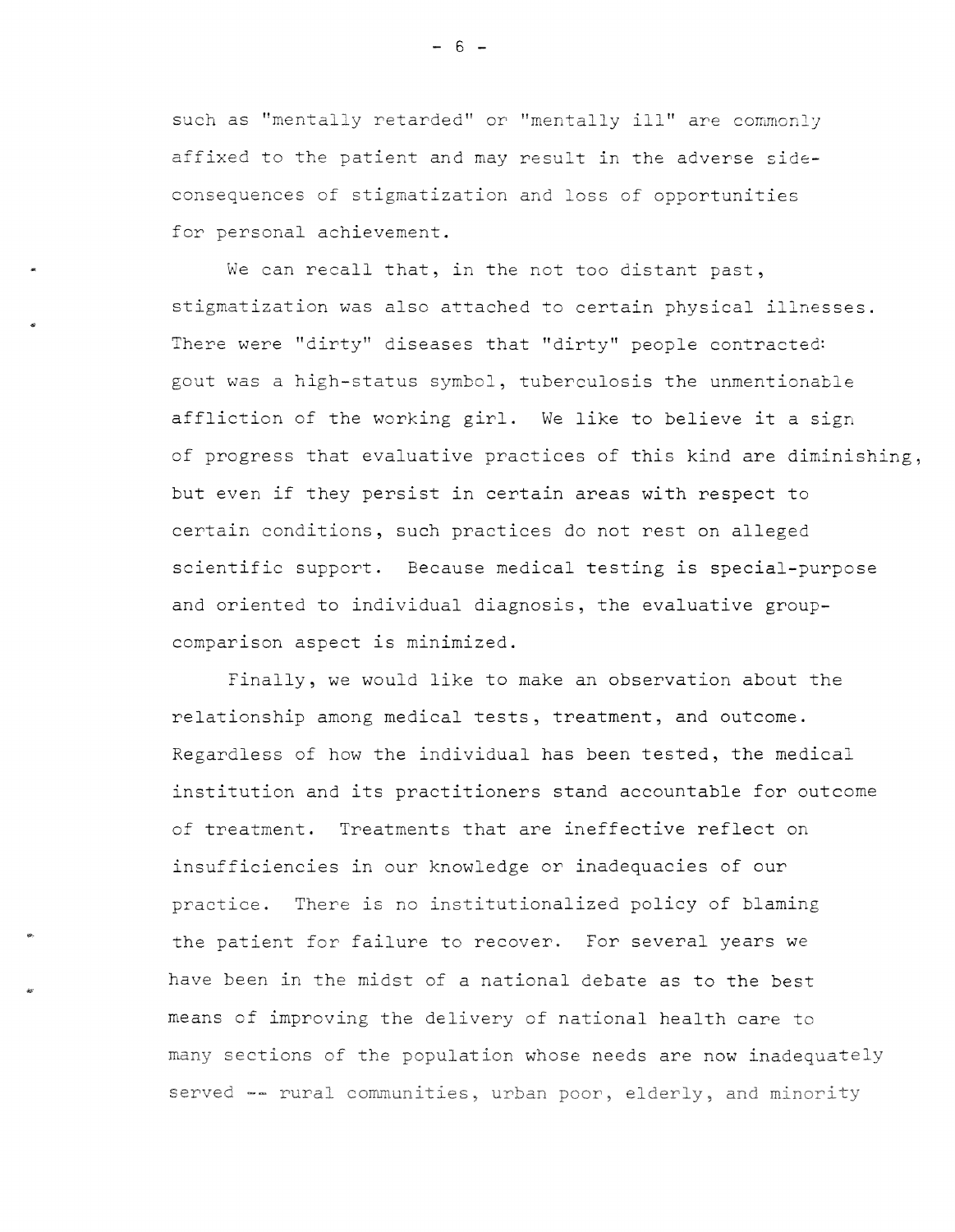such as "mentally retarded" or "mentally ill" are commonly affixed to the patient and may result in the adverse sideconsequences of stigmatization and loss of opportunities for personal achievement.

We can recall that, in the not too distant past, stigmatization was also attached to certain physical illnesses. There were "dirty" diseases that "dirty" people contracted: gout was a high-status symbol, tuberculosis the unmentionable affliction of the working girl. We like to believe it a sign of progress that evaluative practices of this kind are diminishing, but even if they persist in certain areas with respect to certain conditions, such practices do not rest on alleged scientific support. Because medical testing is special-purpose and oriented to individual diagnosis, the evaluative groupcomparison aspect is minimized.

Finally, we would like to make an observation about the relationship among medical tests, treatment, and outcome. Regardless of how the individual has been tested, the medical institution and its practitioners stand accountable for outcome of treatment. Treatments that are ineffective reflect on insufficiencies in our knowledge or inadequacies of our practice. There is no institutionalized policy of blaming the patient for failure to recover. For several years we have been in the midst of a national debate as to the best means of improving the delivery of national health care to many sections of the population whose needs are now inadequately served -- rural communities, urban poor, elderly, and minority

 $- 6 -$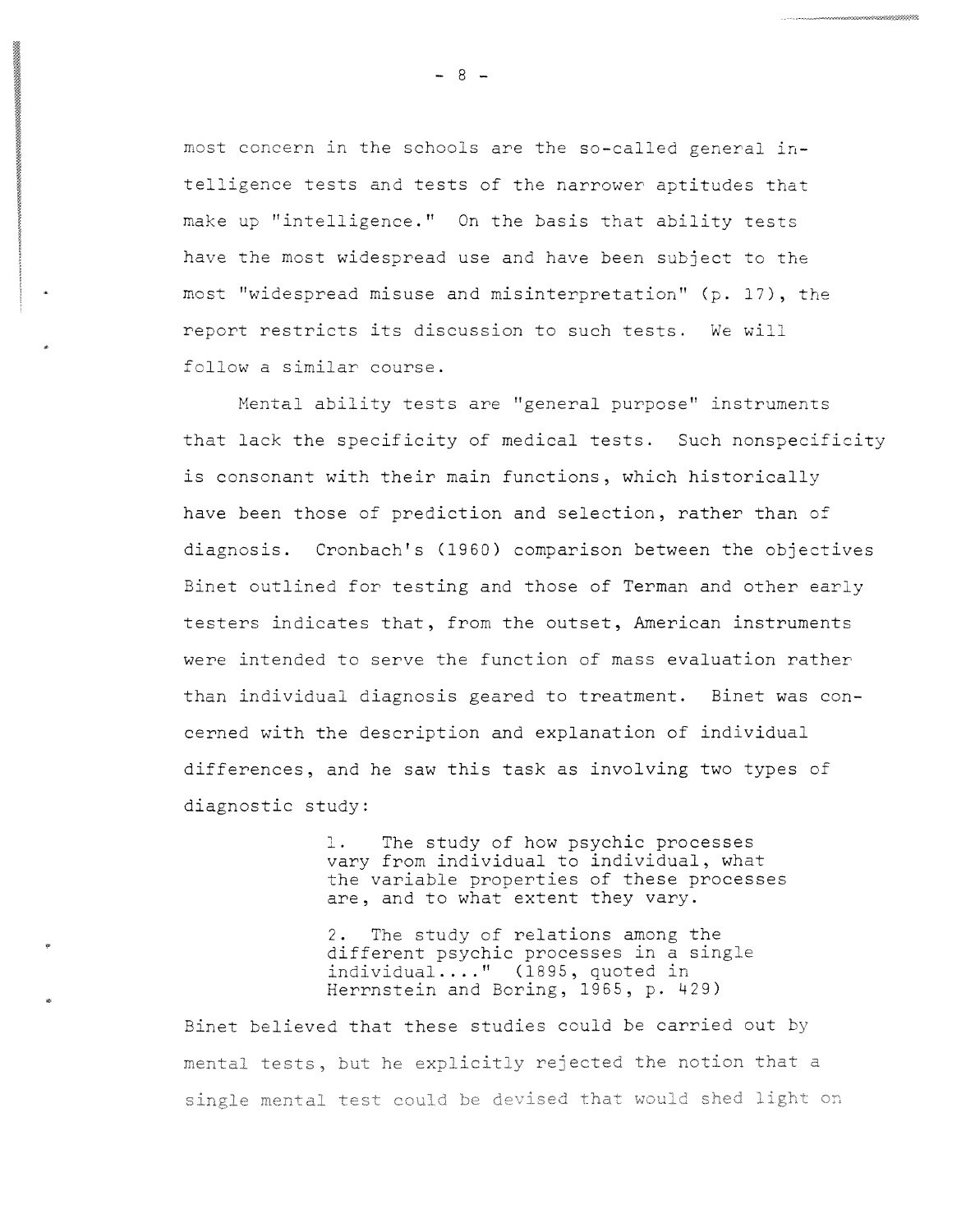most concern in the schools are the so-called general intelligence tests and tests of the narrower aptitudes that make up "intelligence." On the basis that ability tests have the most widespread use and have been subject to the most "widespread misuse and misinterpretation" (p. 17), the report restricts its discussion to such tests. We will follow a similar course.

Mental ability tests are "general purpose" instruments that lack the specificity of medical tests. Such nonspecificity is consonant with their main functions, which historically have been those of prediction and selection, rather than of diagnosis. Cronbach's (1960) comparison between the objectives Binet outlined for testing and those of Terman and other early testers indicates that, from the outset, American instruments were intended to serve the function of mass evaluation rather than individual diagnosis geared to treatment. Binet was concerned with the description and explanation of individual differences, and he saw this task as involving two types of diagnostic study:

> l. The study of how psychic processes vary from individual to individual, what the variable properties of these processes are, and to what extent they vary.

2. The study of relations among the different psychic processes in a singl individual .... " (1895, quoted in Herrnstein and Boring, 1965, p. 429)

Binet believed that these studies could be carried out by mental tests, but he explicitly rejected the notion that a single mental test could be devised that would shed light on

•

 $- 8 -$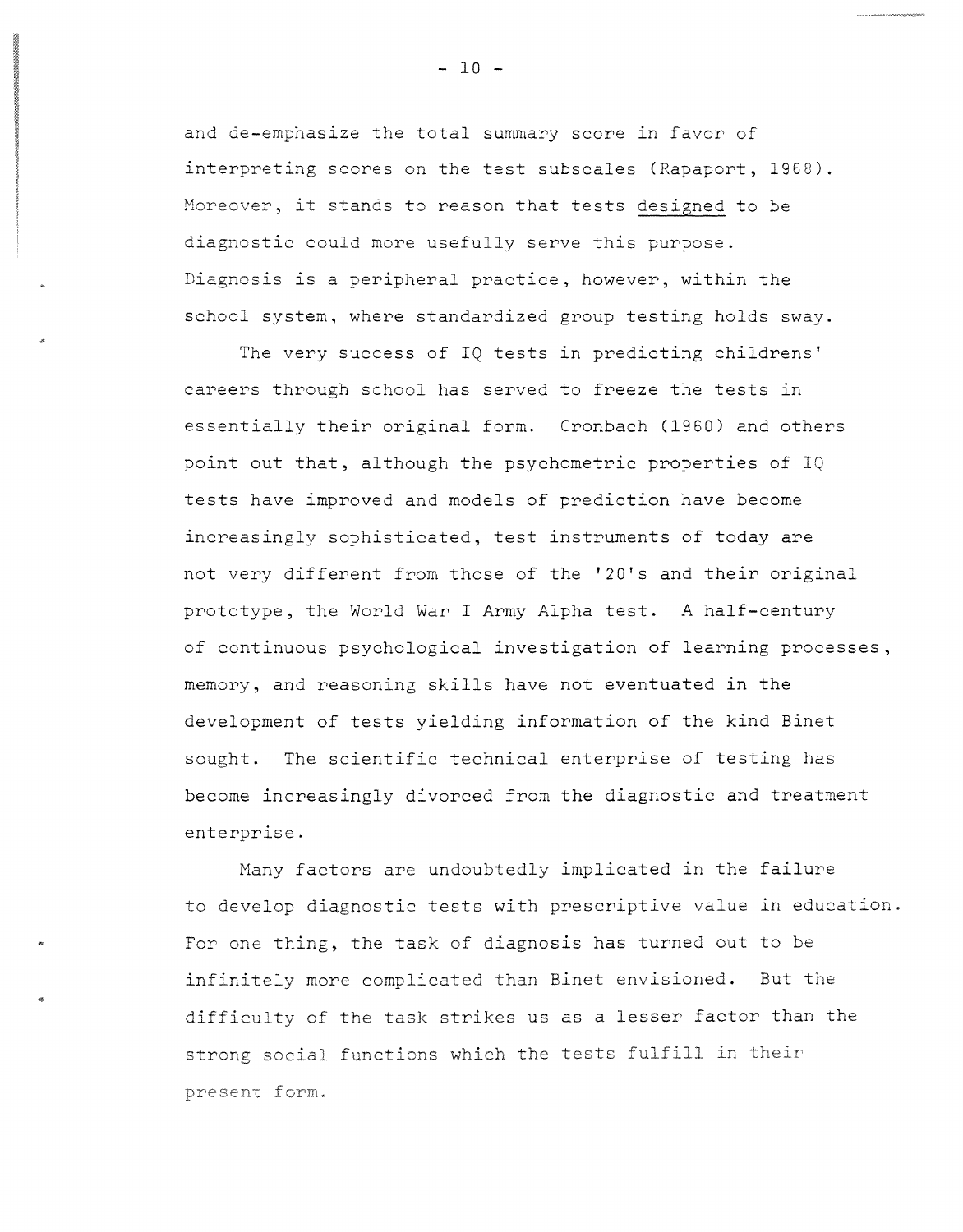and de-emphasize the total summary score in favor of interpreting scores on the test subscales (Rapaport, 1968). Moreover, it stands to reason that tests designed to be diagnostic could more usefully serve this purpose. Diagnosis is a peripheral practice, however, within the school system, where standardized group testing holds sway.

The very success of IQ tests in predicting childrens' careers through school has served to freeze the tests in essentially their original form. Cronbach (1960) and others point out that, although the psychometric properties of IQ tests have improved and models of prediction have become increasingly sophisticated, test instruments of today are not very different from those of the '20's and their original prototype, the World War I Army Alpha test. A half-century of continuous psychological investigation of learning processes, memory, and reasoning skills have not eventuated in the development of tests yielding information of the kind Binet sought. The scientific technical enterprise of testing has become increasingly divorced from the diagnostic and treatment enterprise.

Many factors are undoubtedly implicated in the failure to develop diagnostic tests with prescriptive value in education. For one thing, the task of diagnosis has turned out to be infinitely more complicated than Binet envisioned. But the difficulty of the task strikes us as a lesser factor than the strong social functions which the tests fulfill in their present form.

•

 $- 10 -$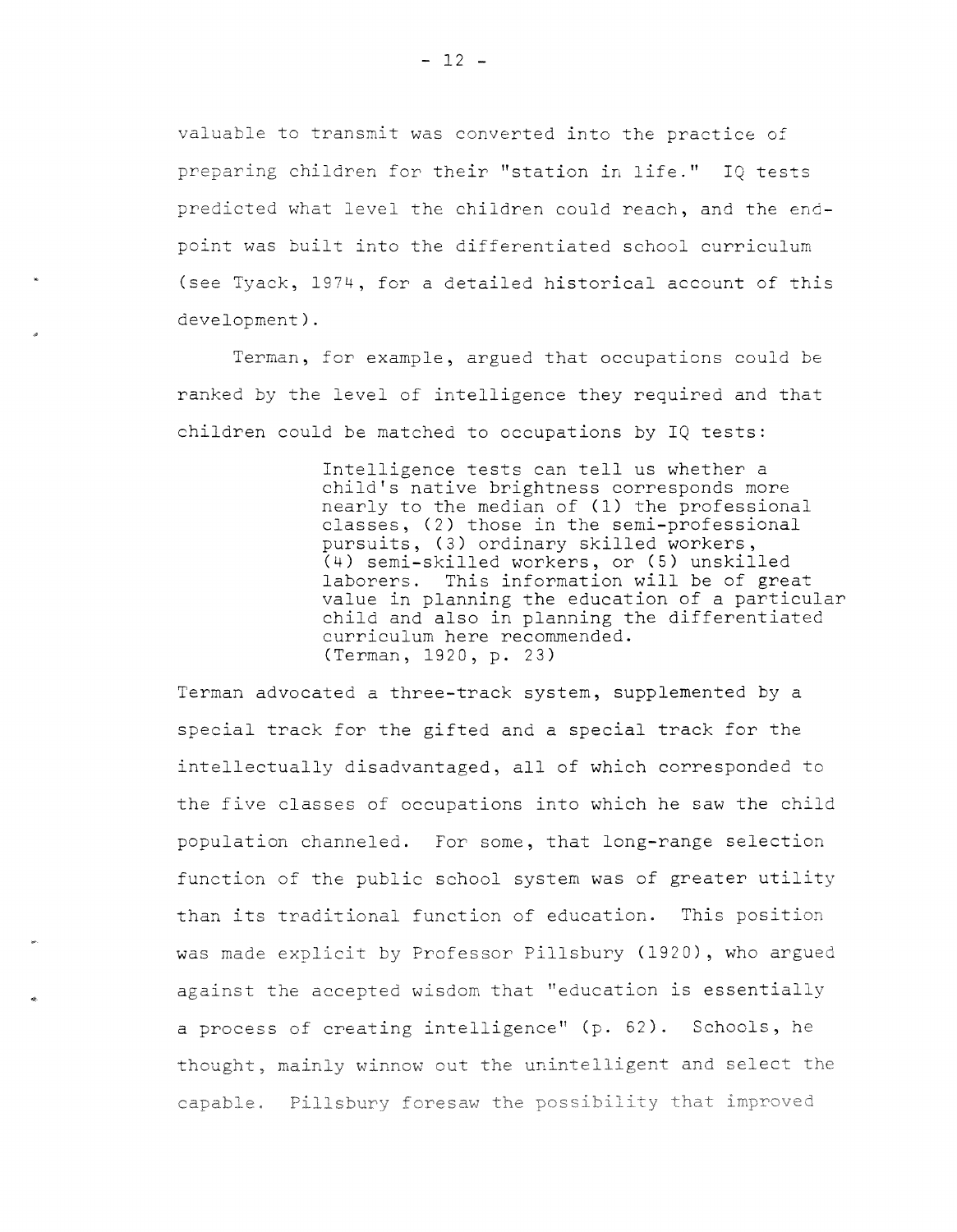valuable to transmit was converted into the practice of preparing children for their "station in life." IQ tests predicted what level the children could reach, and the endpoint was built into the differentiated school curriculum (see Tyack, 1974, for a detailed historical account of this development).

Terman, for example, argued that occupations could be ranked by the level of intelligence they required and that children could be matched to occupations by IQ tests:

> Intelligence tests can tell us whether a child's native brightness corresponds more nearly to the median of (1) the professional classes, (2) those in the semi-professional pursuits, (3) ordinary skilled workers, (4) semi-skilled workers, or (5) unskilled laborers. This information will be of great value in planning the education of a particular child and also in planning the differentiated curriculum here recommended. (Terman, 1920, p. 23)

Terman advocated a three-track system, supplemented by a special track for the gifted and a special track for the intellectually disadvantaged, all of which corresponded to the five classes of occupations into which he saw the child population channeled. For some, that long-range selection function of the public school system was of greater utility than its traditional function of education. This position was made explicit by Professor Pillsbury (1920), who argued against the accepted wisdom that "education is essentially a process of creating intelligence" (p. 62). Schools, he thought, mainly winnow out the unintelligent and select the capable. Pillsbury foresaw the possibility that improved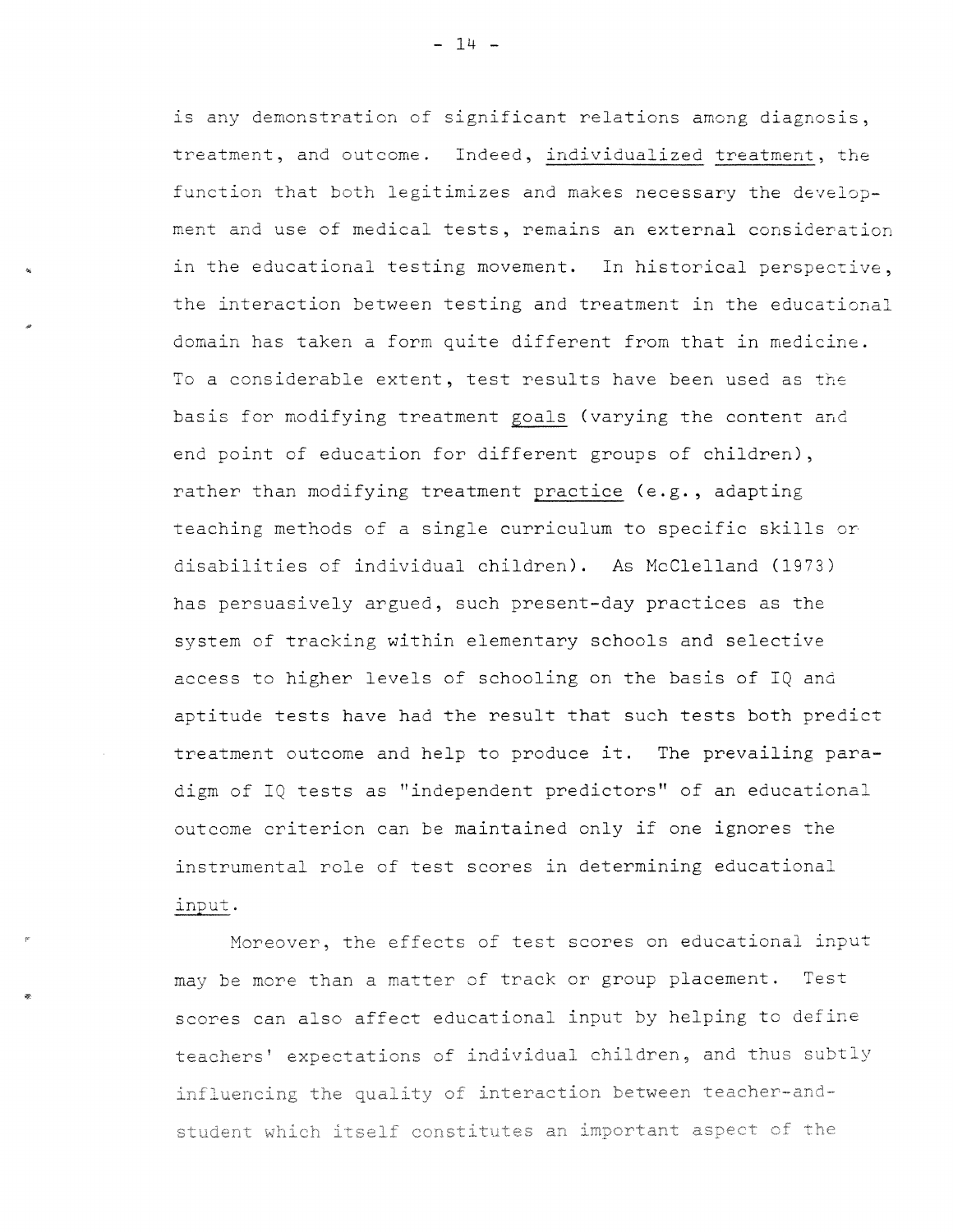is any demonstration of significant relations among diagnosis, treatment, and outcome. Indeed, individualized treatment, the function that both legitimizes and makes necessary the development and use of medical tests, remains an external consideration in the educational testing movement. In historical perspective, the interaction between testing and treatment in the educational domain has taken a form quite different from that in medicine. To a considerable extent, test results have been used as the basis for modifying treatment goals (varying the content and end point of education for different groups of children), rather than modifying treatment practice (e.g., adapting teaching methods of a single curriculum to specific skills or disabilities of individual children). As McClelland (1973) has persuasively argued, such present-day practices as the system of tracking within elementary schools and selective access to higher levels of schooling on the basis of IQ and aptitude tests have had the result that such tests both predict treatment outcome and help to produce it. The prevailing paradigm of IQ tests as "independent predictors" of an educational outcome criterion can be maintained only if one ignores the instrumental role of test scores in determining educational input.

Moreover, the effects of test scores on educational input may be more than a matter of track or group placement. Test scores can also affect educational input by helping to define teachers' expectations of individual children, and thus subtly influencing the quality of interaction between teacher-and~ student which itself constitutes an important aspect cf the

 $- 14 -$ 

..

"'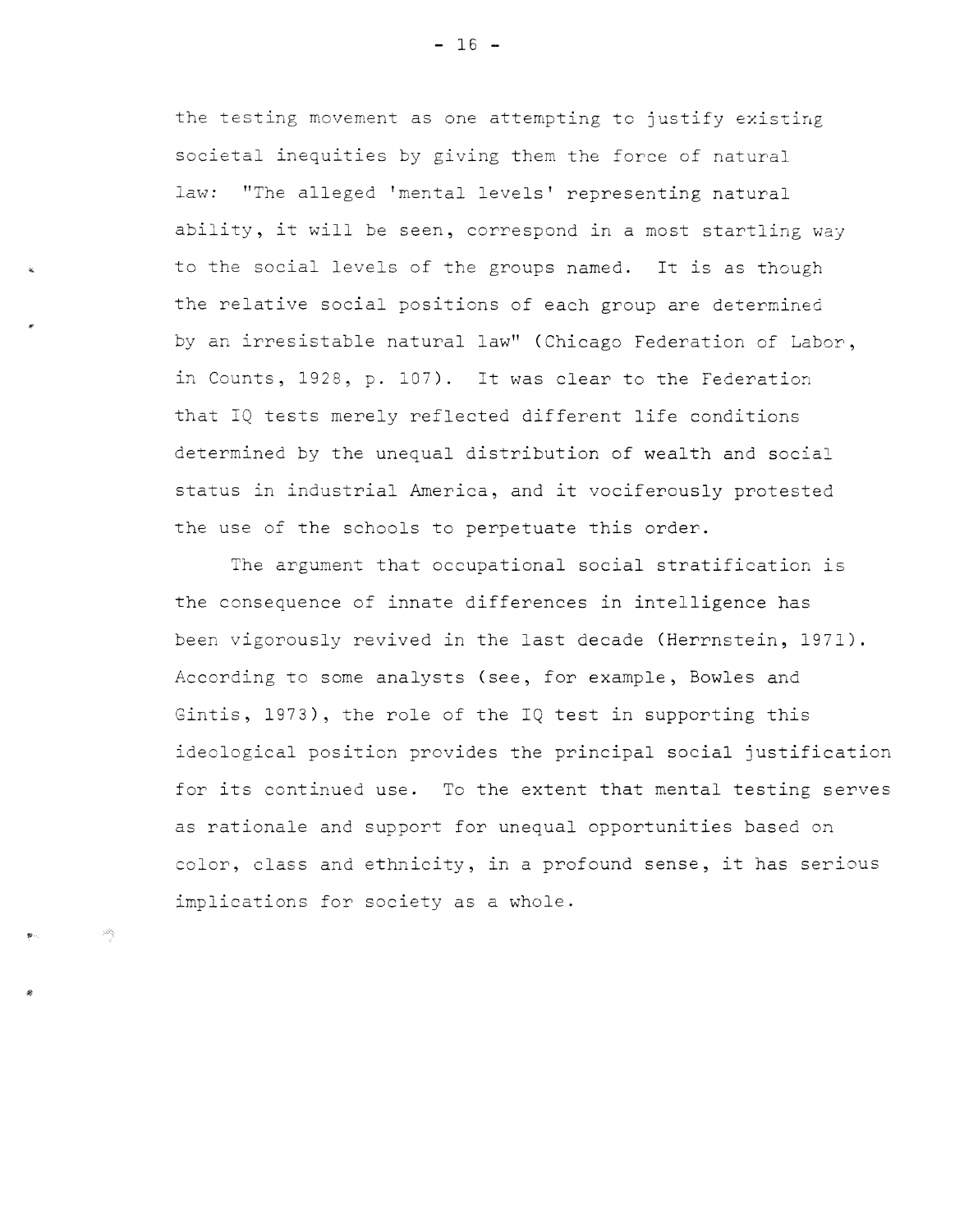the testing movement as one attempting to justify existing societal inequities by giving them the force of natural law: ''The alleged 'mental levels' representing natural ability, it will be seen, correspond in a most startling way to the social levels of the groups named. It is as though the relative social positions of each group are determined by an irresistable natural law" (Chicago Federation of Labor, in Counts, 1928, p. 107). It was clear to the Federation that IQ tests merely reflected different life conditions determined by the unequal distribution of wealth and social status in industrial America, and it vociferously protested the use of the schools to perpetuate this order.

The argument that occupational social stratification is the consequence of innate differences in intelligence has been vigorously revived in the last decade (Herrnstein, 1971). According to some analysts (see, for example, Bowles and Gintis, 1973), the role of the IQ test in supporting this ideological position provides the principal social justification for its continued use. To the extent that mental testing serves as rationale and support for unequal opportunities based on color, class and ethnicity, in a profound sense, it has serious implications for society as a whole.

 $- 16 -$